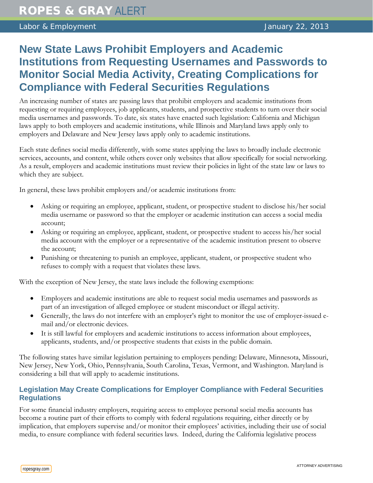## **New State Laws Prohibit Employers and Academic Institutions from Requesting Usernames and Passwords to Monitor Social Media Activity, Creating Complications for Compliance with Federal Securities Regulations**

An increasing number of states are passing laws that prohibit employers and academic institutions from requesting or requiring employees, job applicants, students, and prospective students to turn over their social media usernames and passwords. To date, six states have enacted such legislation: California and Michigan laws apply to both employers and academic institutions, while Illinois and Maryland laws apply only to employers and Delaware and New Jersey laws apply only to academic institutions.

Each state defines social media differently, with some states applying the laws to broadly include electronic services, accounts, and content, while others cover only websites that allow specifically for social networking. As a result, employers and academic institutions must review their policies in light of the state law or laws to which they are subject.

In general, these laws prohibit employers and/or academic institutions from:

- Asking or requiring an employee, applicant, student, or prospective student to disclose his/her social media username or password so that the employer or academic institution can access a social media account;
- Asking or requiring an employee, applicant, student, or prospective student to access his/her social media account with the employer or a representative of the academic institution present to observe the account;
- Punishing or threatening to punish an employee, applicant, student, or prospective student who refuses to comply with a request that violates these laws.

With the exception of New Jersey, the state laws include the following exemptions:

- Employers and academic institutions are able to request social media usernames and passwords as part of an investigation of alleged employee or student misconduct or illegal activity.
- Generally, the laws do not interfere with an employer's right to monitor the use of employer-issued email and/or electronic devices.
- It is still lawful for employers and academic institutions to access information about employees, applicants, students, and/or prospective students that exists in the public domain.

The following states have similar legislation pertaining to employers pending: Delaware, Minnesota, Missouri, New Jersey, New York, Ohio, Pennsylvania, South Carolina, Texas, Vermont, and Washington. Maryland is considering a bill that will apply to academic institutions.

## **Legislation May Create Complications for Employer Compliance with Federal Securities Regulations**

For some financial industry employers, requiring access to employee personal social media accounts has become a routine part of their efforts to comply with federal regulations requiring, either directly or by implication, that employers supervise and/or monitor their employees' activities, including their use of social media, to ensure compliance with federal securities laws. Indeed, during the California legislative process